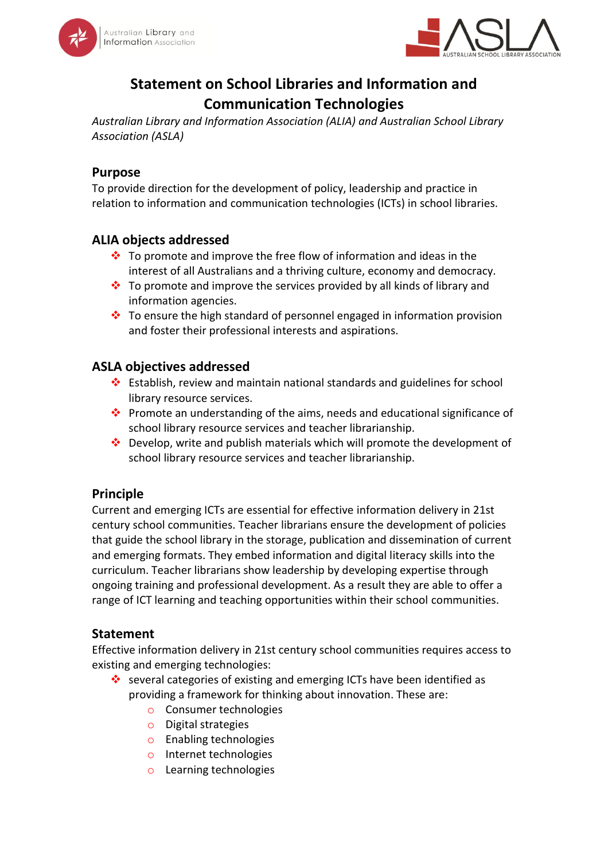



# **Statement on School Libraries and Information and Communication Technologies**

*Australian Library and Information Association (ALIA) and Australian School Library Association (ASLA)*

#### **Purpose**

To provide direction for the development of policy, leadership and practice in relation to information and communication technologies (ICTs) in school libraries.

## **ALIA objects addressed**

- $\cdot \cdot$  To promote and improve the free flow of information and ideas in the interest of all Australians and a thriving culture, economy and democracy.
- $\cdot \cdot$  To promote and improve the services provided by all kinds of library and information agencies.
- $\cdot \cdot$  To ensure the high standard of personnel engaged in information provision and foster their professional interests and aspirations.

## **ASLA objectives addressed**

- Establish, review and maintain national standards and guidelines for school library resource services.
- Promote an understanding of the aims, needs and educational significance of school library resource services and teacher librarianship.
- $\cdot$  Develop, write and publish materials which will promote the development of school library resource services and teacher librarianship.

## **Principle**

Current and emerging ICTs are essential for effective information delivery in 21st century school communities. Teacher librarians ensure the development of policies that guide the school library in the storage, publication and dissemination of current and emerging formats. They embed information and digital literacy skills into the curriculum. Teacher librarians show leadership by developing expertise through ongoing training and professional development. As a result they are able to offer a range of ICT learning and teaching opportunities within their school communities.

## **Statement**

Effective information delivery in 21st century school communities requires access to existing and emerging technologies:

- several categories of existing and emerging ICTs have been identified as providing a framework for thinking about innovation. These are:
	- o Consumer technologies
	- o Digital strategies
	- o Enabling technologies
	- o Internet technologies
	- o Learning technologies